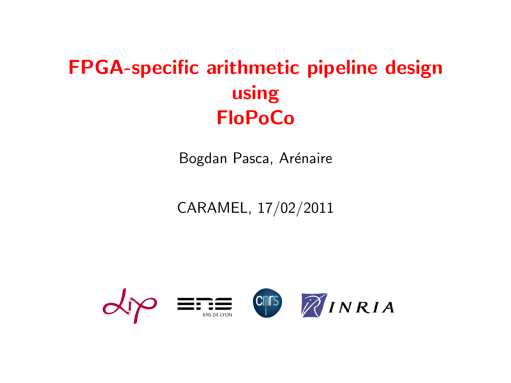# FPGA-specific arithmetic pipeline design using FloPoCo

Bogdan Pasca, Arénaire

CARAMEL, 17/02/2011

<span id="page-0-0"></span>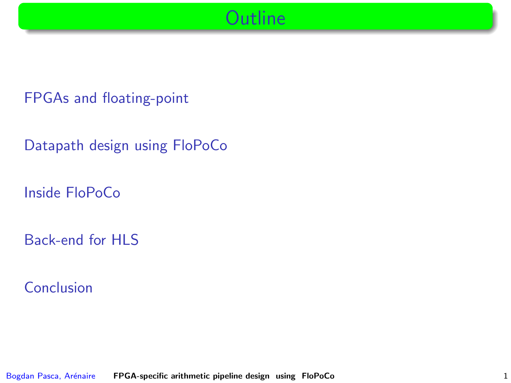**Outline** 

[FPGAs and floating-point](#page-2-0)

[Datapath design using FloPoCo](#page-23-0)

[Inside FloPoCo](#page-36-0)

[Back-end for HLS](#page-65-0)

[Conclusion](#page-70-0)

Bogdan Pasca, Arénaire [FPGA-specific arithmetic pipeline design using FloPoCo](#page-0-0) 1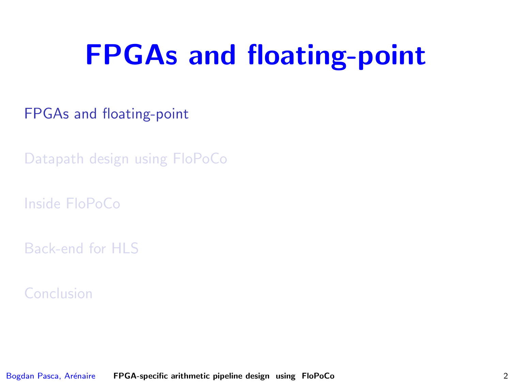# FPGAs and floating-point

[FPGAs and floating-point](#page-2-0)

[Datapath design using FloPoCo](#page-23-0)

[Inside FloPoCo](#page-36-0)

[Back-end for HLS](#page-65-0)

<span id="page-2-0"></span>[Conclusion](#page-70-0)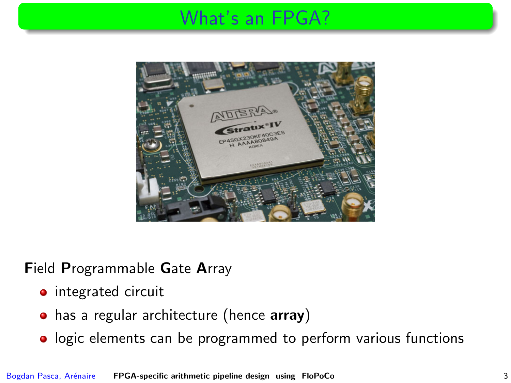## What's an FPGA?



Field Programmable Gate Array

- **•** integrated circuit
- has a regular architecture (hence array)
- **o** logic elements can be programmed to perform various functions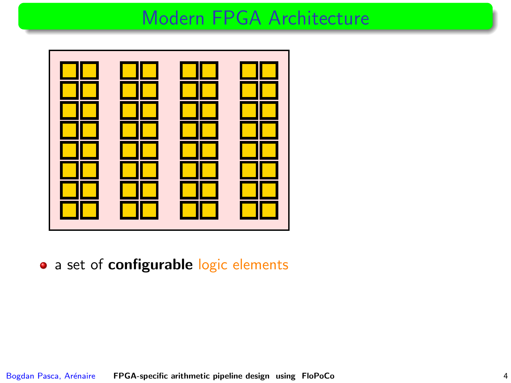

• a set of configurable logic elements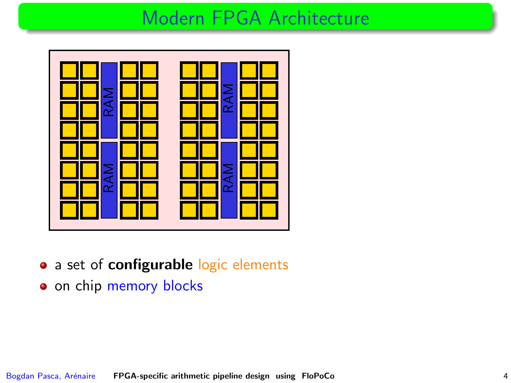

- a set of configurable logic elements
- on chip memory blocks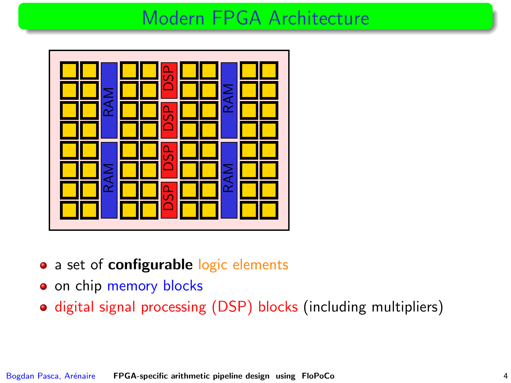

- a set of configurable logic elements
- o on chip memory blocks
- digital signal processing (DSP) blocks (including multipliers)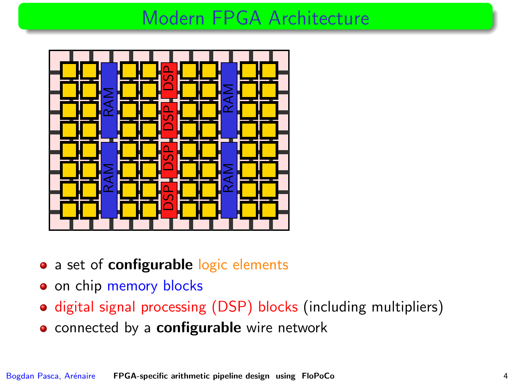

- a set of **configurable** logic elements
- on chip memory blocks
- $\bullet$  digital signal processing (DSP) blocks (including multipliers)
- **.** connected by a **configurable** wire network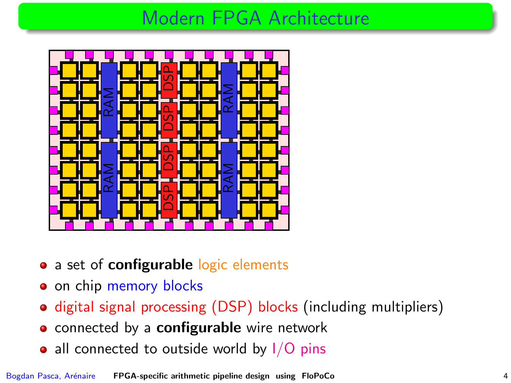

- a set of **configurable** logic elements
- on chip memory blocks
- digital signal processing (DSP) blocks (including multipliers)
- **o** connected by a **configurable** wire network
- all connected to outside world by  $1/O$  pins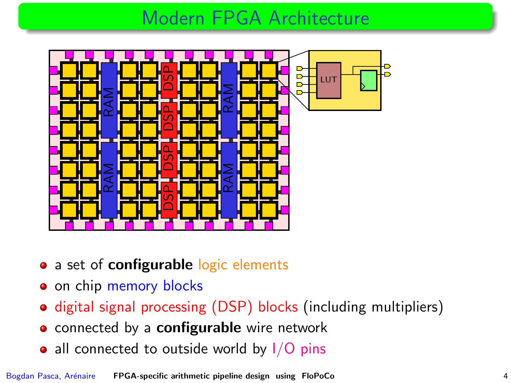

- a set of **configurable** logic elements
- on chip memory blocks
- digital signal processing (DSP) blocks (including multipliers)
- **o** connected by a **configurable** wire network
- all connected to outside world by  $1/O$  pins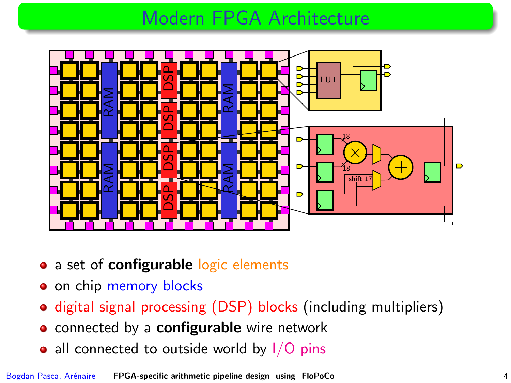

- a set of **configurable** logic elements
- on chip memory blocks
- digital signal processing (DSP) blocks (including multipliers)
- **o** connected by a **configurable** wire network
- all connected to outside world by  $1/O$  pins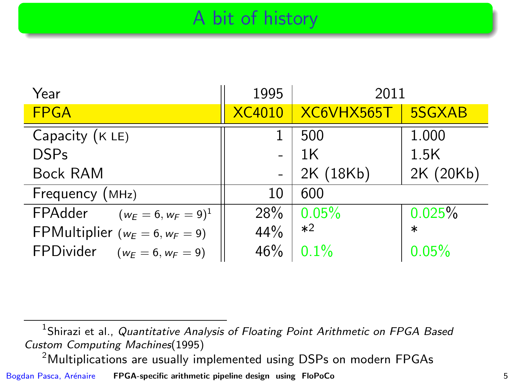# A bit of history

| Year                                   | 1995          | 2011           |           |
|----------------------------------------|---------------|----------------|-----------|
| <b>FPGA</b>                            | <b>XC4010</b> | XC6VHX565T     | 5SGXAB    |
| Capacity (K LE)                        |               | 500            | 1.000     |
| <b>DSPs</b>                            |               | 1 <sub>K</sub> | 1.5K      |
| <b>Bock RAM</b>                        |               | 2K (18Kb)      | 2K (20Kb) |
| Frequency (MHz)                        | 10            | 600            |           |
| FPAdder<br>$(w_E = 6, w_F = 9)^1$      | 28%           | 0.05%          | 0.025%    |
| FPMultiplier ( $w_E = 6$ , $w_F = 9$ ) | 44%           | $*2$           | $\ast$    |
| FPDivider<br>$(w_F = 6, w_F = 9)$      | 46%           | 0.1%           | 0.05%     |

 $^1$ Shirazi et al., *Quantitative Analysis of Floating Point Arithmetic on FPGA Based* Custom Computing Machines(1995)

<sup>2</sup>Multiplications are usually implemented using DSPs on modern FPGAs

Bogdan Pasca, Arénaire [FPGA-specific arithmetic pipeline design using FloPoCo](#page-0-0) 5 5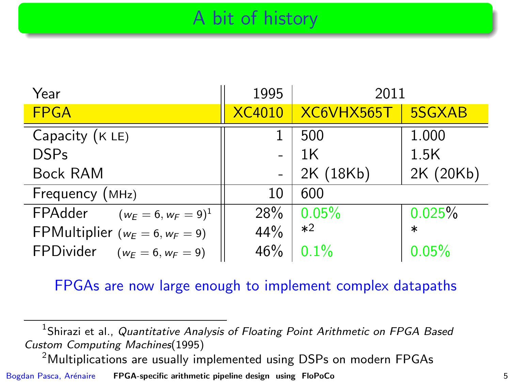# A bit of history

| Year                                   | 1995          | 2011       |           |
|----------------------------------------|---------------|------------|-----------|
| <b>FPGA</b>                            | <b>XC4010</b> | XC6VHX565T | 5SGXAB    |
| Capacity (K LE)                        |               | 500        | 1.000     |
| <b>DSPs</b>                            |               | 1K         | 1.5K      |
| <b>Bock RAM</b>                        |               | 2K (18Kb)  | 2K (20Kb) |
| Frequency (MHz)                        | 10            | 600        |           |
| FPAdder<br>$(w_E = 6, w_F = 9)^1$      | 28%           | 0.05%      | 0.025%    |
| FPMultiplier ( $w_E = 6$ , $w_F = 9$ ) | 44%           | $*2$       | $\ast$    |
| FPDivider<br>$(w_E = 6, w_F = 9)$      | 46%           | 0.1%       | 0.05%     |

#### FPGAs are now large enough to implement complex datapaths

 $^1$ Shirazi et al., *Quantitative Analysis of Floating Point Arithmetic on FPGA Based* Custom Computing Machines(1995)

<sup>2</sup>Multiplications are usually implemented using DSPs on modern FPGAs

Bogdan Pasca, Arénaire [FPGA-specific arithmetic pipeline design using FloPoCo](#page-0-0) 5 5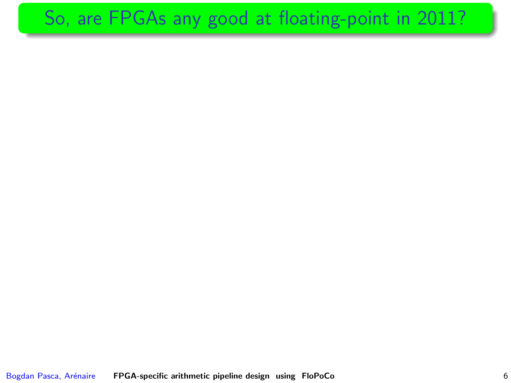# So, are FPGAs any good at floating-point in 2011?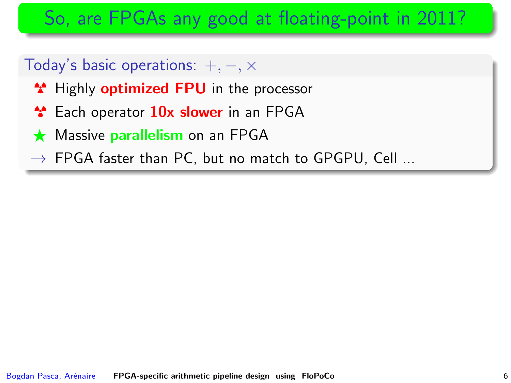# So, are FPGAs any good at floating-point in 2011?

#### Today's basic operations:  $+, -, \times$

- <sup>\*</sup> Highly **optimized FPU** in the processor
- <sup>1</sup> Each operator 10x slower in an FPGA
- $\star$  Massive parallelism on an FPGA
- $\rightarrow$  FPGA faster than PC, but no match to GPGPU, Cell ...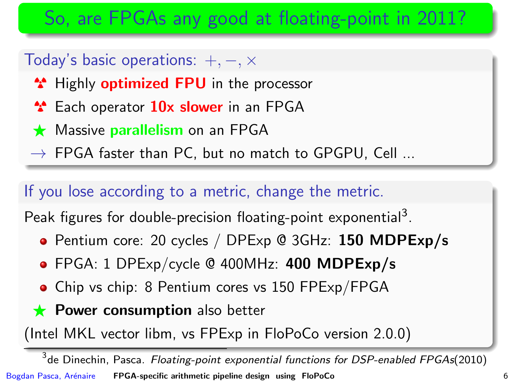# So, are FPGAs any good at floating-point in 2011?

#### Today's basic operations:  $+, -, \times$

- <sup>\*</sup> Highly **optimized FPU** in the processor
- <sup>2</sup> Each operator 10x slower in an FPGA
- $\star$  Massive parallelism on an FPGA
- $\rightarrow$  FPGA faster than PC, but no match to GPGPU, Cell ...

#### If you lose according to a metric, change the metric.

Peak figures for double-precision floating-point exponential<sup>3</sup>.

- Pentium core: 20 cycles / DPExp @ 3GHz: 150 MDPExp/s
- FPGA: 1 DPExp/cycle @ 400MHz: 400 MDPExp/s
- Chip vs chip: 8 Pentium cores vs 150 FPExp/FPGA
- $\star$  Power consumption also better

(Intel MKL vector libm, vs FPExp in FloPoCo version 2.0.0)

 $^3$ de Dinechin, Pasca. *Floating-point exponential functions for DSP-enabled FPGAs*(2010) Bogdan Pasca, Ar´enaire [FPGA-specific arithmetic pipeline design using FloPoCo](#page-0-0) 6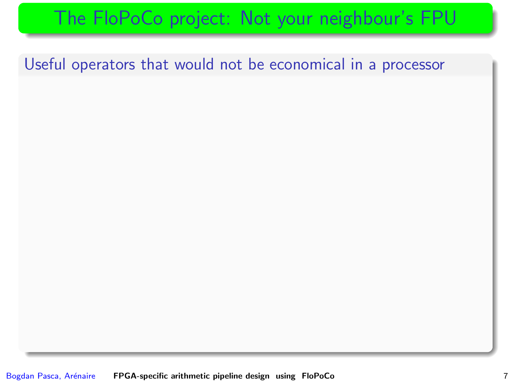# The FloPoCo project: Not your neighbour's FPU

Useful operators that would not be economical in a processor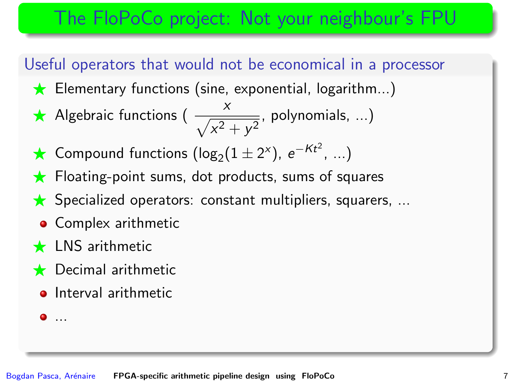# The FloPoCo project: Not your neighbour's FPU

#### Useful operators that would not be economical in a processor

- $\star$  Elementary functions (sine, exponential, logarithm...)
- Algebraic functions ( $\frac{x}{\sqrt{x^2+y^2}}$ , polynomials, ...)
- ★ Compound functions  $(\log_2(1 \pm 2^x), e^{-Kt^2}, ...)$
- $\star$  Floating-point sums, dot products, sums of squares
- $\star$  Specialized operators: constant multipliers, squarers, ...
- Complex arithmetic
- $\star$  LNS arithmetic
- $\bigstar$  Decimal arithmetic
	- **o** Interval arithmetic

 $\bullet$  ...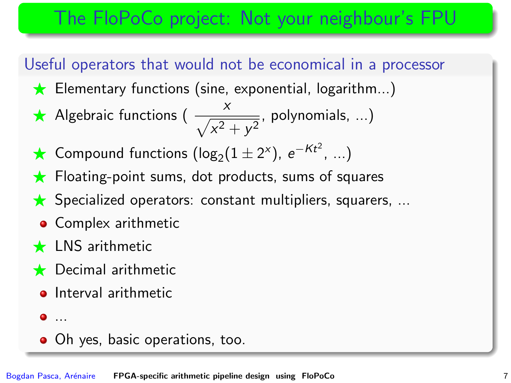# The FloPoCo project: Not your neighbour's FPU

#### Useful operators that would not be economical in a processor

- $\star$  Elementary functions (sine, exponential, logarithm...)
- Algebraic functions ( $\frac{x}{\sqrt{x^2+y^2}}$ , polynomials, ...)
- ★ Compound functions  $(\log_2(1 \pm 2^x), e^{-Kt^2}, ...)$
- $\star$  Floating-point sums, dot products, sums of squares
- $\star$  Specialized operators: constant multipliers, squarers, ...
- Complex arithmetic
- $\star$  LNS arithmetic
- $\bigstar$  Decimal arithmetic
	- **o** Interval arithmetic
	- $\bullet$  ...
	- Oh yes, basic operations, too.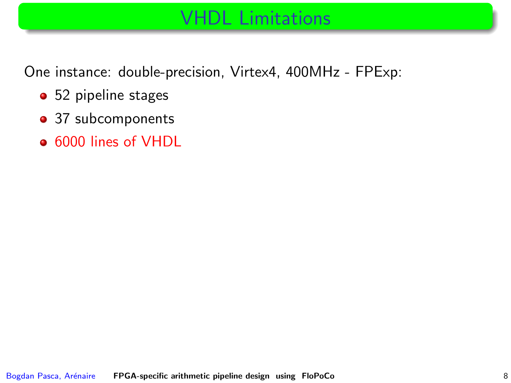One instance: double-precision, Virtex4, 400MHz - FPExp:

- 52 pipeline stages
- 37 subcomponents
- 6000 lines of VHDL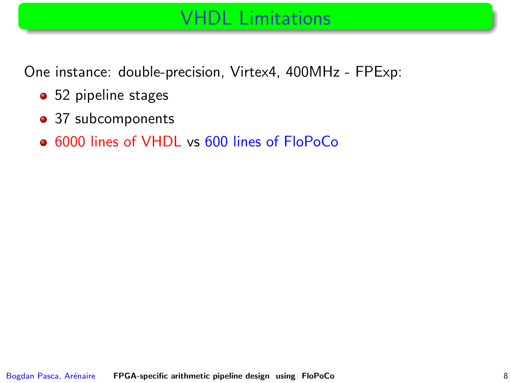One instance: double-precision, Virtex4, 400MHz - FPExp:

- 52 pipeline stages
- 37 subcomponents
- 6000 lines of VHDL vs 600 lines of FloPoCo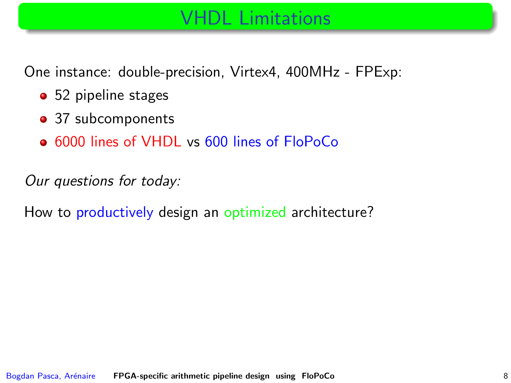One instance: double-precision, Virtex4, 400MHz - FPExp:

- 52 pipeline stages
- 37 subcomponents
- 6000 lines of VHDL vs 600 lines of FloPoCo

Our questions for today:

How to productively design an optimized architecture?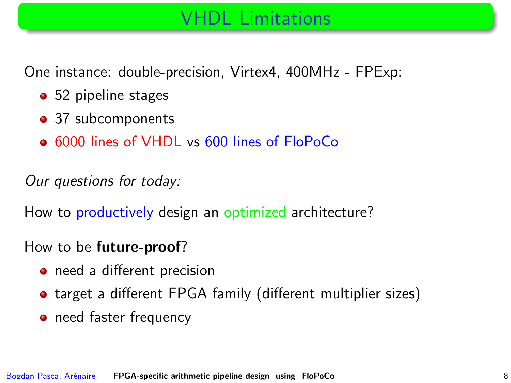One instance: double-precision, Virtex4, 400MHz - FPExp:

- 52 pipeline stages
- 37 subcomponents
- 6000 lines of VHDL vs 600 lines of FloPoCo

Our questions for today:

How to productively design an optimized architecture?

#### How to be future-proof?

- need a different precision
- target a different FPGA family (different multiplier sizes)
- need faster frequency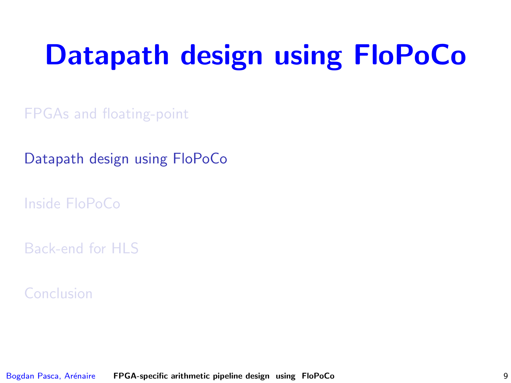# Datapath design using FloPoCo

[FPGAs and floating-point](#page-2-0)

[Datapath design using FloPoCo](#page-23-0)

[Inside FloPoCo](#page-36-0)

[Back-end for HLS](#page-65-0)

<span id="page-23-0"></span>[Conclusion](#page-70-0)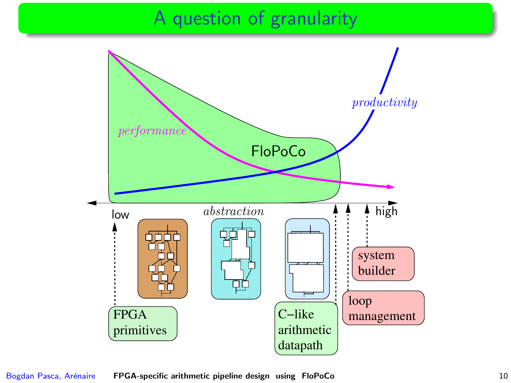## A question of granularity

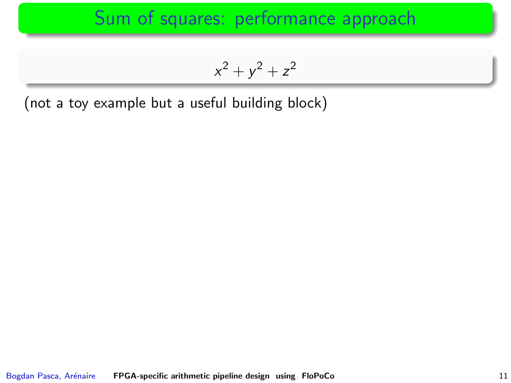$$
x^2 + y^2 + z^2
$$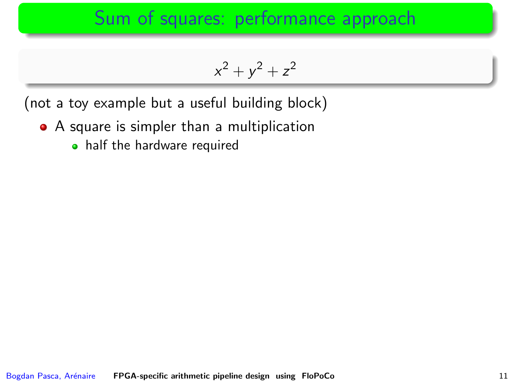$$
x^2 + y^2 + z^2
$$

- A square is simpler than a multiplication
	- half the hardware required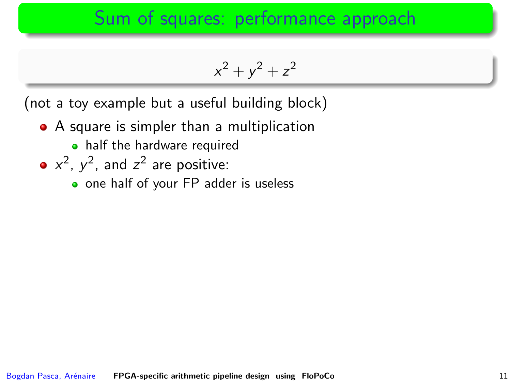$$
x^2 + y^2 + z^2
$$

- A square is simpler than a multiplication
	- half the hardware required
- $x^2$ ,  $y^2$ , and  $z^2$  are positive:
	- one half of your [FP adder](#page-78-0) is useless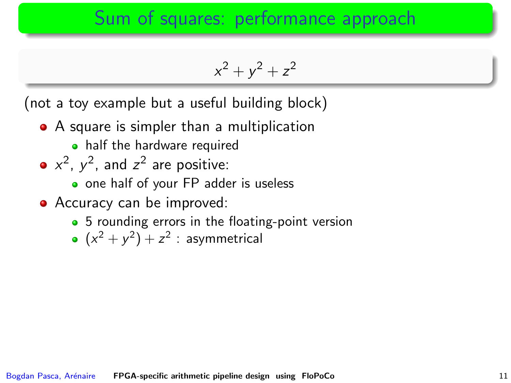$$
x^2 + y^2 + z^2
$$

- A square is simpler than a multiplication
	- half the hardware required
- $x^2$ ,  $y^2$ , and  $z^2$  are positive:
	- one half of your [FP adder](#page-78-0) is useless
- Accuracy can be improved:
	- 5 rounding errors in the floating-point version
	- $(x^2 + y^2) + z^2$  : asymmetrical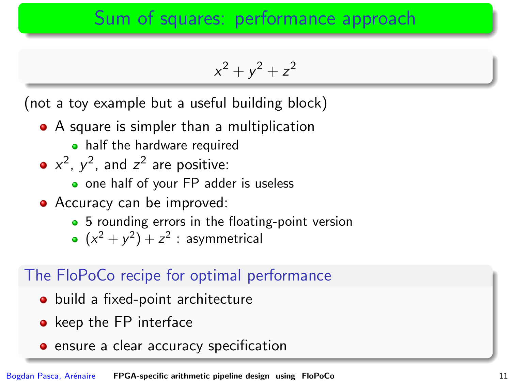$$
x^2 + y^2 + z^2
$$

(not a toy example but a useful building block)

- A square is simpler than a multiplication
	- half the hardware required
- $x^2$ ,  $y^2$ , and  $z^2$  are positive:
	- o one half of your [FP adder](#page-78-0) is useless
- Accuracy can be improved:
	- 5 rounding errors in the floating-point version
	- $(x^2 + y^2) + z^2$  : asymmetrical

#### The FloPoCo recipe for optimal performance

- build a fixed-point architecture
- keep the FP interface
- **•** ensure a clear accuracy specification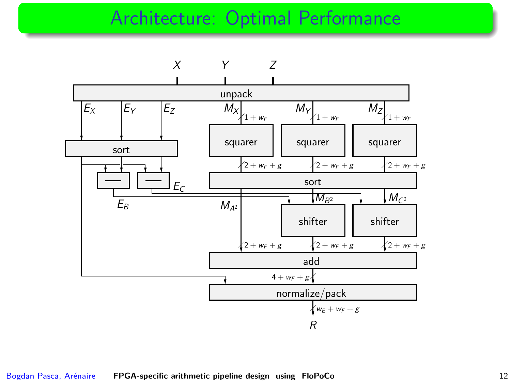#### Architecture: Optimal Performance

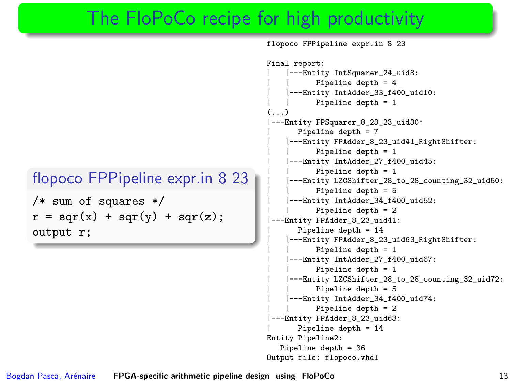#### The FloPoCo recipe for high productivity

```
flopoco FPPipeline expr.in 8 23
```

```
/* sum of squares */
r = \text{sqr}(x) + \text{sqr}(y) + \text{sqr}(z);output r;
```
flopoco FPPipeline expr.in 8 23 Final report: | |---Entity IntSquarer\_24\_uid8: Pipeline depth = 4 | |---Entity IntAdder\_33\_f400\_uid10: Pipeline depth  $= 1$ (...) ---Entity FPSquarer\_8\_23\_23\_uid30: Pipeline depth = 7 | |---Entity FPAdder\_8\_23\_uid41\_RightShifter: Pipeline depth = 1 | |---Entity IntAdder\_27\_f400\_uid45: Pipeline depth = 1 | |---Entity LZCShifter\_28\_to\_28\_counting\_32\_uid50: Pipeline depth = 5 | |---Entity IntAdder\_34\_f400\_uid52: Pipeline depth = 2 ---Entity FPAdder\_8\_23\_uid41: | Pipeline depth = 14 | |---Entity FPAdder\_8\_23\_uid63\_RightShifter: Pipeline depth = 1 | |---Entity IntAdder\_27\_f400\_uid67: Pipeline depth = 1 | |---Entity LZCShifter\_28\_to\_28\_counting\_32\_uid72: Pipeline depth = 5 | |---Entity IntAdder\_34\_f400\_uid74: Pipeline depth = 2 ---Entity FPAdder 8 23 uid63: | Pipeline depth = 14 Entity Pipeline2: Pipeline depth = 36 Output file: flopoco.vhdl

Bogdan Pasca, Arénaire **[FPGA-specific arithmetic pipeline design using FloPoCo](#page-0-0)** 13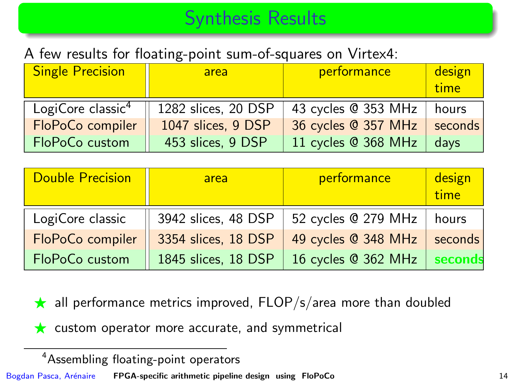## Synthesis Results

#### A few results for floating-point sum-of-squares on Virtex4:

| <b>Single Precision</b>       | area                | performance         | design<br>time |
|-------------------------------|---------------------|---------------------|----------------|
| LogiCore classic <sup>4</sup> | 1282 slices, 20 DSP | 43 cycles @ 353 MHz | hours          |
| FloPoCo compiler              | 1047 slices, 9 DSP  | 36 cycles @ 357 MHz | seconds        |
| FloPoCo custom                | 453 slices, 9 DSP   | 11 cycles @ 368 MHz | davs           |

| <b>Double Precision</b> | area                | performance         | design<br>time |
|-------------------------|---------------------|---------------------|----------------|
| LogiCore classic        | 3942 slices, 48 DSP | 52 cycles @ 279 MHz | hours          |
| FloPoCo compiler        | 3354 slices, 18 DSP | 49 cycles @ 348 MHz | seconds        |
| FloPoCo custom          | 1845 slices, 18 DSP | 16 cycles @ 362 MHz | seconds        |

- $\star$  all performance metrics improved, FLOP/s/area more than doubled
- $\star$  custom operator more accurate, and symmetrical

<sup>4</sup>Assembling floating-point operators

Bogdan Pasca, Arénaire [FPGA-specific arithmetic pipeline design using FloPoCo](#page-0-0) 14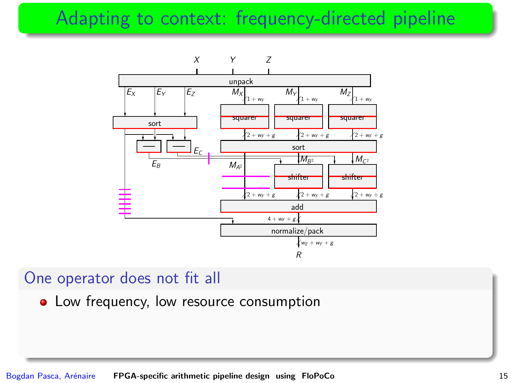# Adapting to context: frequency-directed pipeline



#### One operator does not fit all

• Low frequency, low resource consumption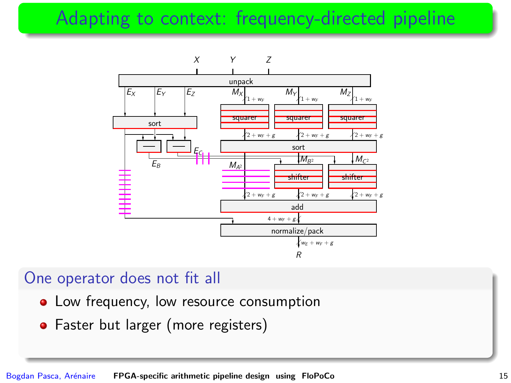# Adapting to context: frequency-directed pipeline



#### One operator does not fit all

- Low frequency, low resource consumption
- Faster but larger (more registers)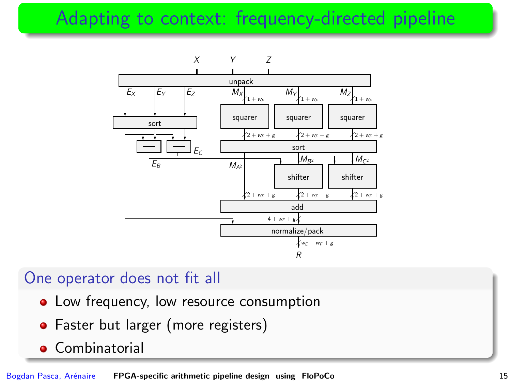# Adapting to context: frequency-directed pipeline



#### One operator does not fit all

- Low frequency, low resource consumption
- Faster but larger (more registers)
- **Combinatorial**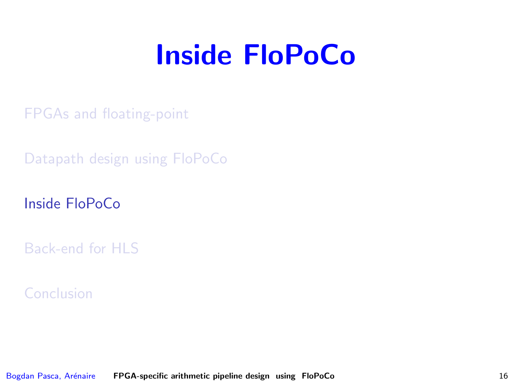# Inside FloPoCo

[FPGAs and floating-point](#page-2-0)

[Datapath design using FloPoCo](#page-23-0)

[Inside FloPoCo](#page-36-0)

[Back-end for HLS](#page-65-0)

<span id="page-36-0"></span>[Conclusion](#page-70-0)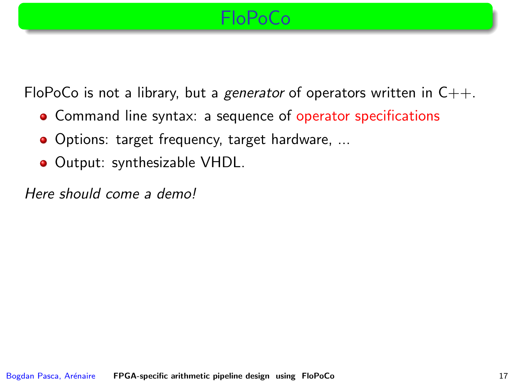#### FloPoCo

FloPoCo is not a library, but a generator of operators written in  $C_{++}$ .

- Command line syntax: a sequence of operator specifications
- Options: target frequency, target hardware, ...
- Output: synthesizable VHDL.

Here should come a demo!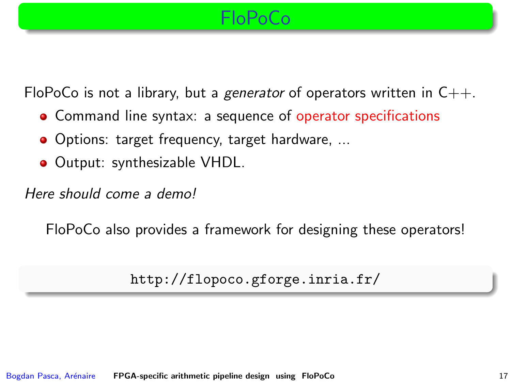#### FloPoCo

FloPoCo is not a library, but a generator of operators written in  $C_{++}$ .

- Command line syntax: a sequence of operator specifications
- Options: target frequency, target hardware, ...
- Output: synthesizable VHDL.

Here should come a demo!

FloPoCo also provides a framework for designing these operators!

```
http://flopoco.gforge.inria.fr/
```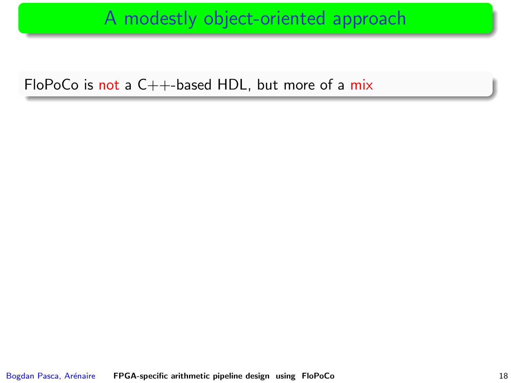#### A modestly object-oriented approach

FloPoCo is not a  $C++$ -based HDL, but more of a mix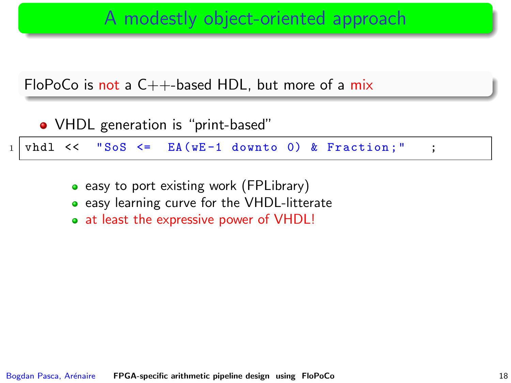### A modestly object-oriented approach

FloPoCo is not a  $C_{++}$ -based HDL, but more of a mix

| • VHDL generation is "print-based" |  |  |  |  |  |  |  |                                                                 |  |  |  |
|------------------------------------|--|--|--|--|--|--|--|-----------------------------------------------------------------|--|--|--|
|                                    |  |  |  |  |  |  |  | $1   \text{vhd1} <<$ "SoS $\leq$ EA(wE-1 downto 0) & Fraction;" |  |  |  |

- easy to port existing work (FPLibrary)
- **easy learning curve for the VHDL-litterate**
- at least the expressive power of VHDL!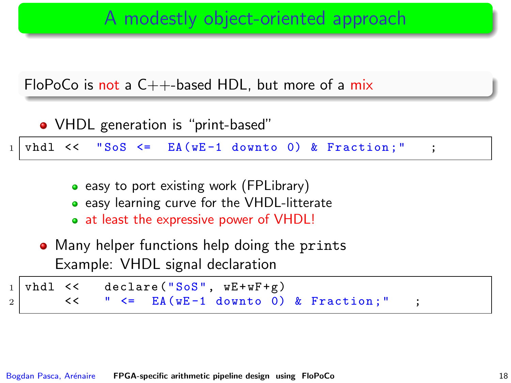### A modestly object-oriented approach



| • VHDL generation is "print-based" |  |  |  |  |  |  |  |                                                                      |  |  |  |
|------------------------------------|--|--|--|--|--|--|--|----------------------------------------------------------------------|--|--|--|
|                                    |  |  |  |  |  |  |  | $1 \mid \text{vhd1} \ll$ "SoS $\leq$ EA(wE-1 downto 0) & Fraction;"; |  |  |  |
|                                    |  |  |  |  |  |  |  |                                                                      |  |  |  |

- easy to port existing work (FPLibrary)
- **easy learning curve for the VHDL-litterate**
- at least the expressive power of VHDL!
- Many helper functions help doing the prints Example: VHDL signal declaration

vhdl << declare ("SoS", wE+wF+g)  $2$  << " <= EA(wE-1 downto 0) & Fraction;"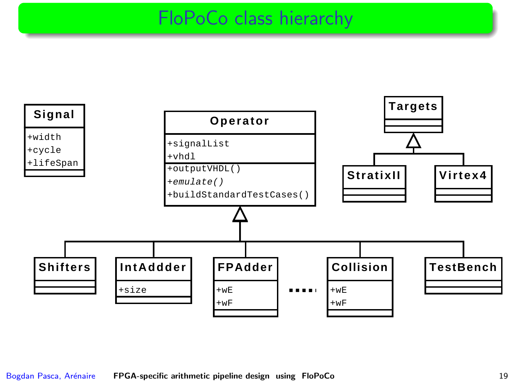#### FloPoCo class hierarchy

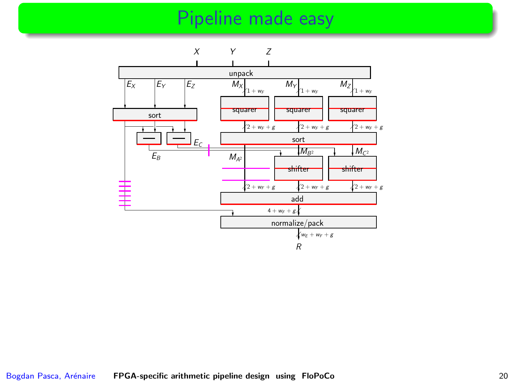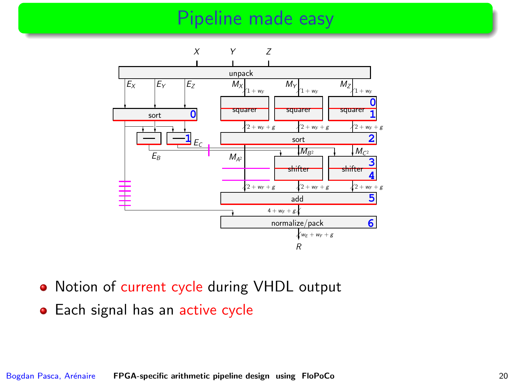

- Notion of current cycle during VHDL output
- Each signal has an active cycle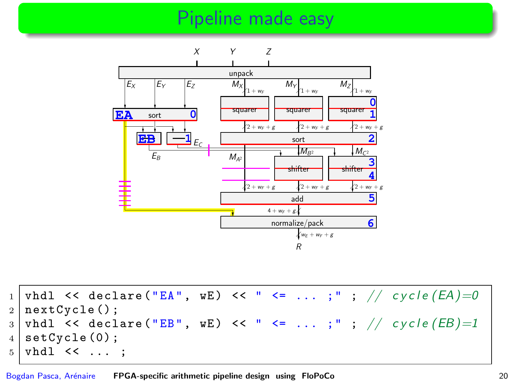

 $1 \mid \text{vhd}$  << declare ("EA", wE) << " <= ... ;" ; // cycle  $(EA)=0$  $2 \mid nextCycle()$ ;  $3 \mid \text{vhd}$  << declare ("EB", wE) << " <= ...;"; // cycle (EB)=1  $4 \mid \text{setCycle}(0);$  $5 \mid \text{vhd}1 \leq \ldots;$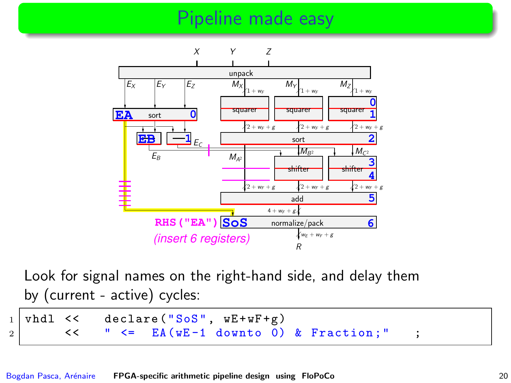

Look for signal names on the right-hand side, and delay them by (current - active) cycles:

 $1 \mid \text{vhd1} \leq \text{declare}$  ("SoS",  $wE + wF + g$ )  $2$  << " <= EA(wE-1 downto 0) & Fraction;"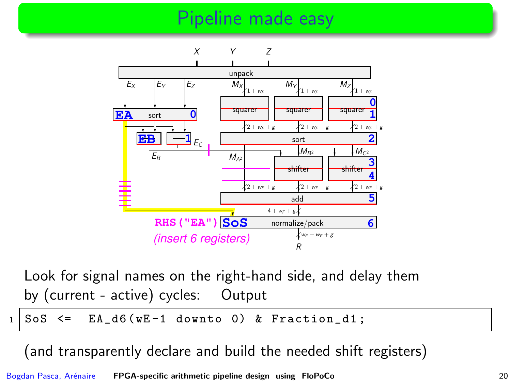

Look for signal names on the right-hand side, and delay them by (current - active) cycles: Output

 $1 \mid$  SoS  $\le$  EA\_d6 (wE-1 downto 0) & Fraction\_d1;

(and transparently declare and build the needed shift registers)

Bogdan Pasca, Arénaire [FPGA-specific arithmetic pipeline design using FloPoCo](#page-0-0) 20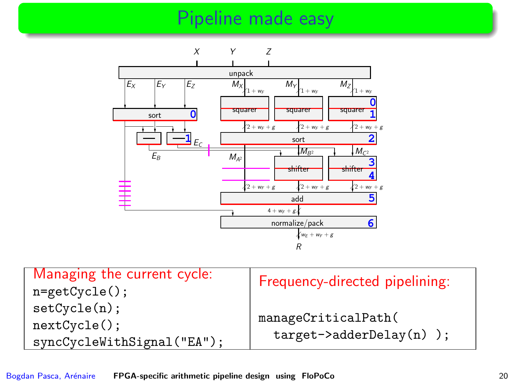

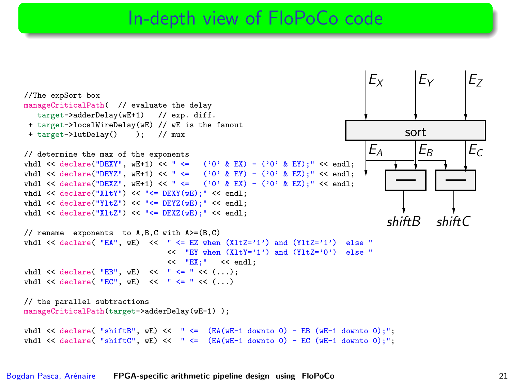#### In-depth view of FloPoCo code

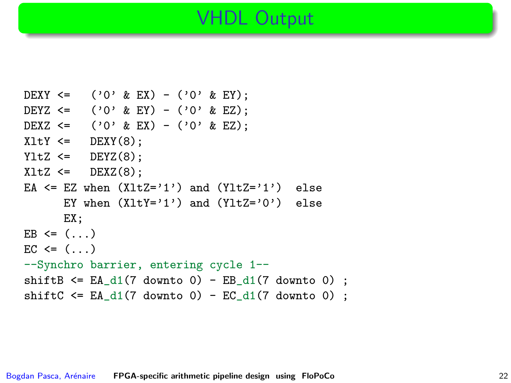#### VHDL Output

```
DEXY <= ('0' & EX) - ('0' & EY);DEYZ <= ('0' & EY) - ('0' & EZ);DEXZ <= ('0' & EX) - ('0' & EZ);XltY \leq DEXY(8);
YltZ \leq DEYZ(8);
XltZ \leq DEXZ(8):
EA \leq EZ when (X1tZ='1') and (Y1tZ='1') else
      EY when (XltY='1') and (YltZ='0') else
      EX;
EB \leq (...)
EC \leq (...)--Synchro barrier, entering cycle 1--
shiftB \leq EA_d1(7 downto 0) - EB_d1(7 downto 0) ;
shiftC \leq EA_d1(7 downto 0) - EC_d1(7 downto 0) ;
```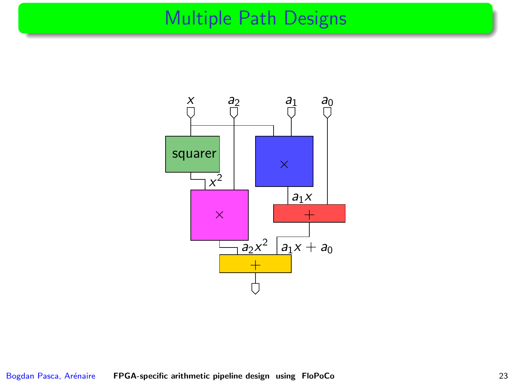# Multiple Path Designs

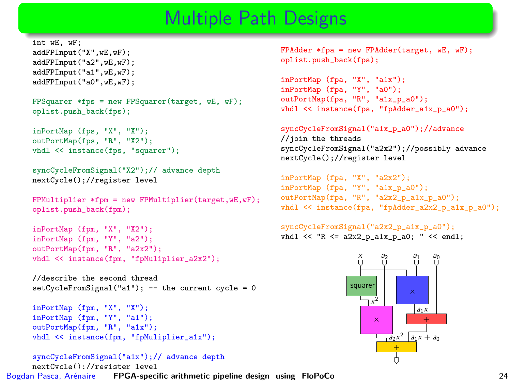### Multiple Path Designs

```
int wE, wF;
addFPInput("X",wE,wF);
addFPInput("a2",wE,wF);
addFPInput("a1",wE,wF);
addFPInput("a0",wE,wF);
```

```
FPSquarer *fps = new FPSquarer(target, wE, wF);
oplist.push_back(fps);
```

```
inPortMap (fps, "X", "X");
outPortMap(fps, "R", "X2");
vhdl << instance(fps, "squarer");
```

```
syncCycleFromSignal("X2");// advance depth
nextCycle();//register level
```

```
FPMultiplier *fpm = new FPMultiplier(target,wE,wF);
oplist.push_back(fpm);
```

```
inPortMap (fpm, "X", "X2");
inPortMap (fpm, "Y", "a2");
outPortMap(fpm, "R", "a2x2");
vhdl << instance(fpm, "fpMuliplier_a2x2");
```

```
//describe the second thread
setCycleFromSignal("a1"); -- the current cycle = 0
```

```
inPortMap (fpm, "X", "X");
inPortMap (fpm, "Y", "a1");
outPortMap(fpm, "R", "a1x");
vhdl << instance(fpm, "fpMuliplier_a1x");
```

```
syncCycleFromSignal("a1x");// advance depth
    nextCycle();//register level
FPGA-specific arithmetic pipeline design using FloPoCo 24
```
FPAdder \*fpa = new FPAdder(target, wE, wF); oplist.push\_back(fpa);

```
inPortMap (fpa, "X", "a1x");
inPortMap (fpa, "Y", "a0");
outPortMap(fpa, "R", "a1x_p_a0");
vhdl \ll instance(fpa, "fpAdder a1x p_a0");
```
#### syncCycleFromSignal("a1x\_p\_a0");//advance

//join the threads syncCycleFromSignal("a2x2");//possibly advance nextCycle();//register level

```
inPortMap (fpa, "X", "a2x2");
inPortMap (fpa, "Y", "a1x_p_a0");
outPortMap(fpa, "R", "a2x2_p_a1x_p_a0");
vhdl \le instance(fpa, "fpAdder a2x2 p a1x p a0");
```
syncCycleFromSignal("a2x2\_p\_a1x\_p\_a0");

vhdl << "R <= a2x2\_p\_a1x\_p\_a0; " << endl;

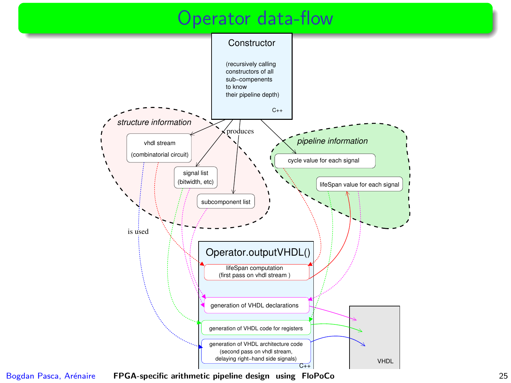#### Operator data-flow



Bogdan Pasca, Arénaire [FPGA-specific arithmetic pipeline design using FloPoCo](#page-0-0) 25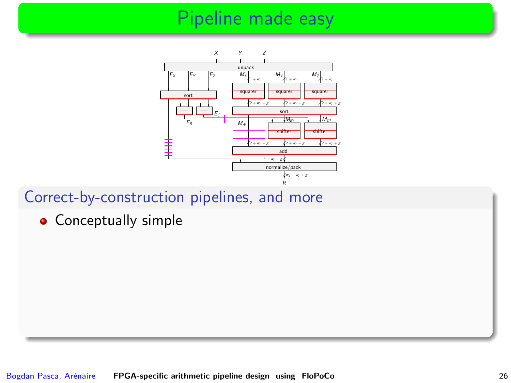

#### Correct-by-construction pipelines, and more

**•** Conceptually simple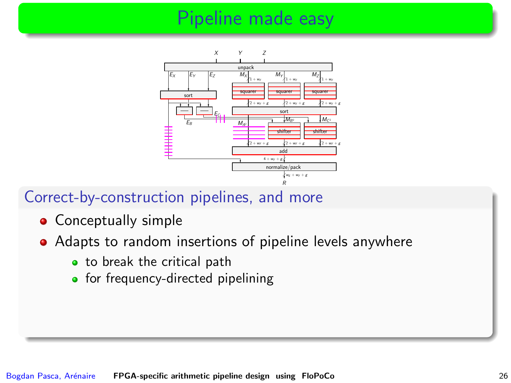

#### Correct-by-construction pipelines, and more

- Conceptually simple
- Adapts to random insertions of pipeline levels anywhere
	- to break the critical path
	- for frequency-directed pipelining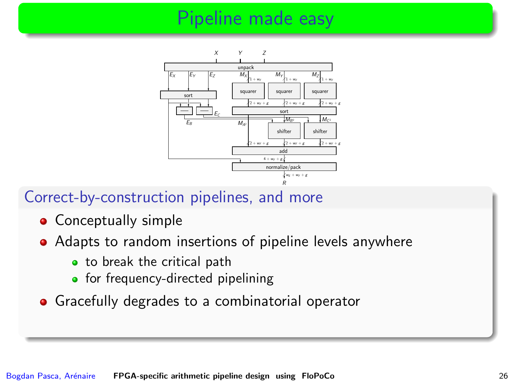

#### Correct-by-construction pipelines, and more

- Conceptually simple
- Adapts to random insertions of pipeline levels anywhere
	- to break the critical path
	- for frequency-directed pipelining
- Gracefully degrades to a combinatorial operator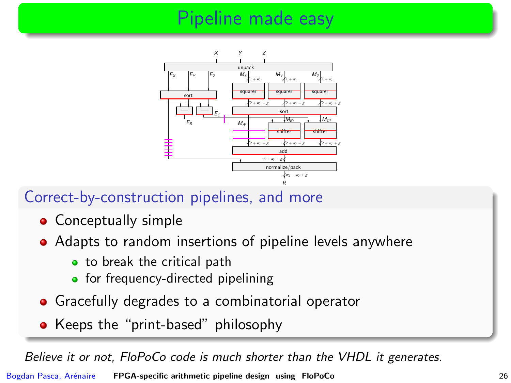

#### Correct-by-construction pipelines, and more

- Conceptually simple
- Adapts to random insertions of pipeline levels anywhere
	- to break the critical path
	- for frequency-directed pipelining
- **•** Gracefully degrades to a combinatorial operator
- Keeps the "print-based" philosophy

Believe it or not, FloPoCo code is much shorter than the VHDL it generates.

Bogdan Pasca, Arénaire [FPGA-specific arithmetic pipeline design using FloPoCo](#page-0-0) 26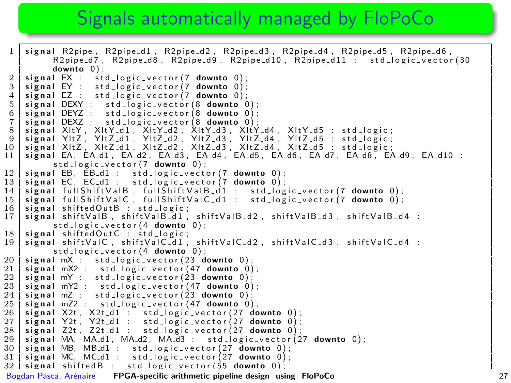#### Signals automatically managed by FloPoCo

```
1 \mid signal R2pipe, R2pipe d1, R2pipe d2, R2pipe d3, R2pipe d4, R2pipe d5, R2pipe d6,
                R 2 pipe d 7, R 2 pipe d 8, R 2 pipe d 9, R 2 pipe d 10, R 2 pipe d 11 : std l o g i c v e c t or ( 30
       downto 0);<br>signal EX: st
  2 signal EX : std_logic_vector(7 downto 0);<br>3 signal EY : std_logic_vector(7 downto 0);
 3 \mid signal EY : std_logic_vector(7 downto 0);<br>4 signal EZ : std_logic_vector(7 downto 0);
 4 signal EZ : std_logic_vector(7 downto 0);<br>5 signal DEXY : std_logic_vector(8 downto 0
 5 \mid signal DEXY : std_logic_vector(8 downto 0);<br>6 signal DEYZ : std_logic_vector(8 downto 0);
  6 | signal DEYZ : std_logic_vector(8 downto 0);<br>7 | signal DEXZ : std_logic_vector(8 downto 0);
 8 \overline{\phantom{a}} signal XltY, XltY_d1, XltY_d2, XltY_d3, XltY_d4, XltY_d5 : std_logic;<br>9 signal YltZ, YltZ_d1, YltZ_d2, YltZ_d3, YltZ_d4, YltZ_d5 : std_logic;
9 signal YltZ, YltZ_d1, YltZ_d2, YltZ_d3, YltZ_d4, YltZ_d5 : std_logic;<br>10 signal XltZ, XltZ_d1, XltZ_d2, XltZ_d3, XltZ_d4, XltZ_d5 : std_logic;
10 signal XltZ , XltZ d1 , XltZ d2 , XltZ d3 , XltZ d4 , XltZ d5 : std logic;<br>11 signal EA, EA d1, EA d2, EA d3, EA d4, EA d5, EA d6, EA d7, EA d8, EA
       11 signal EA, EA d1, EA d2, EA d3, EA d4, EA d5, EA d6, EA d7, EA d8, EA d9, EA d10 :
                 std_logic_vector(7 downto 0);
12 signal EB, EB_d1 : std_logic_vector(7 downto 0);<br>13 signal EC, EC_d1 : std_logic_vector(7 downto 0);
       signal EC, EC_d1 : std\_logic\_vector (7 downto 0);
14 signal fullShiftValB, fullShiftValB_d1 : std_logic_vector(7 downto 0);<br>15 signal fullShiftValC, fullShiftValC_d1 : std_logic_vector(7 downto 0);
\frac{15}{16} signal full Shift Val C, full Shift Val C \frac{1}{16} : std \frac{1}{16} or \frac{1}{16} c vector (7 downto 0);
16 signal shifted Out B : std_logic;<br>17 signal shift Val B shift Val B d 1.
       signal shift V al B, shift V al B d 1, shift V al B d 2, shift V al B d 3, shift V al B d 4 :
                 std\_lo g ic vector(4 downto 0) :
\frac{18}{19} signal shifted Out C : std_logic;<br>\frac{19}{19} signal shift Val C shift Val C d 1.
       signal shiftValC, shiftValC_d1, shiftValC_d2, shiftValC_d3, shiftValC_d4 :
                 std\_logic\_vector(4 downto 0);
20 signal mX : std_logic_vector (23 \text{ downto } 0);<br>21 signal mX2 : std_logic_vector (47 \text{ downto } 0)21 signal mX2 : std_logic_vector (47 \text{ downto } 0);<br>22 signal mY : std_logic_vector (23 \text{ downto } 0);
22 signal mY : std_logic_vector (23 \text{ downto 0});<br>23 signal mY2 : std_logic_vector (47 \text{ downto 0})23 signal mY2 : std logic vector (47 \text{ downto 0});<br>24 signal mZ : std logic vector (23 \text{ downto 0});
24 signal mZ : std_logic_vector (23 \text{ downto 0});<br>25 signal mZ2 : std_logic_vector (47 \text{ downto 0})25 signal mZ2 : std_logic_vector(47 downto 0);<br>26 signal X2t, X2t_d1 : std_logic_vector(27 do
\begin{array}{c|c|c|c|c|c} 26 & \text{signal X2t, X2t.d1}: & \text{std_logic-vector(27 downto 0)}; \\ 27 & \text{signal Y2t, Y2t.d1}: & \text{std_logic-vector(27 downto 0)}; \end{array}27 signal Y2t, Y2t d1 : std logic vector (27 \text{ down to } 0);<br>28 signal Z2t, Z2t d1 : std logic vector (27 \text{ down to } 0);
28 signal Z2t, Z2t d1 : std logic vector (27 downto 0);<br>29 signal MA, MA d1, MA d2, MA d3 : std logic vector (2
29 signal MA, MA d1, MA d2, MA d3 : std logic vector (27 \text{ downto 0});<br>30 signal MB, MB d1 : std logic vector (27 \text{ downto 0}):
30 signal MB, MB_d1 : std_logic_vector(27 downto 0);<br>31 signal MC, MC_d1 : std_logic_vector(27 downto 0);
\begin{array}{|l|l|}\n 31 & \text{signal MC, MC.d1}: & \text{std_logic-vector(27 down to 0)}; \\
 32 & \text{signal shiftedB}: & \text{std_logic vector(55 down to 0)}:\n \end{array}std logic vector (s5, downto 0) \cdotFPGA-specific arithmetic pipeline design using FloPoCo 27
\overline{a} s i g n a l a l i g n e d \overline{a} i g i c v e c t o r \overline{a} i c v e c t o r \overline{a}
```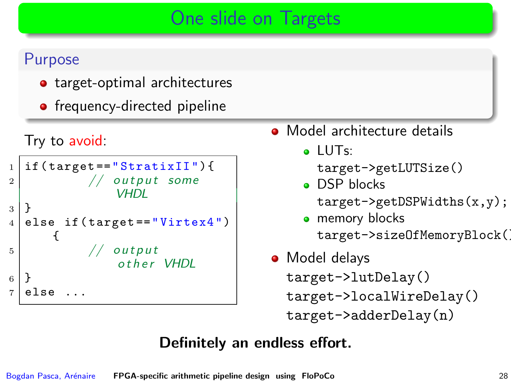# One slide on Targets

#### Purpose

- target-optimal architectures
- frequency-directed pipeline

```
Try to avoid:
```

```
_1 | if (target == "StratixII") {
\frac{2}{1} // output some
                VHDL
3 }
  else if (target == "Virtex4")
      {
5 // output
                other VHDL
6 }
  7 else ...
```
- **Model architecture details** 
	- $\bullet$  LUTs:

```
target->getLUTSize()
```
- **o** DSP blocks target->getDSPWidths(x,y);
- memory blocks target->sizeOfMemoryBlock()
- Model delays target->lutDelay() target->localWireDelay() target->adderDelay(n)

#### Definitely an endless effort.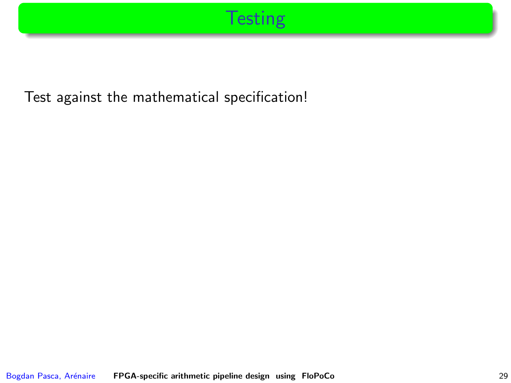# **Testing**

Test against the mathematical specification!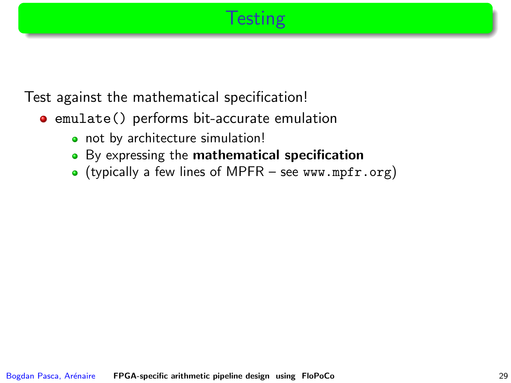# **Testing**

Test against the mathematical specification!

- **•** emulate() performs bit-accurate emulation
	- not by architecture simulation!
	- By expressing the mathematical specification
	- (typically a few lines of MPFR see <www.mpfr.org>)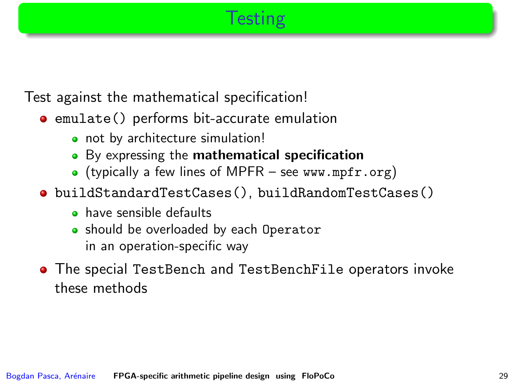# **Testing**

Test against the mathematical specification!

- **•** emulate() performs bit-accurate emulation
	- not by architecture simulation!
	- By expressing the mathematical specification
	- (typically a few lines of MPFR see <www.mpfr.org>)
- buildStandardTestCases(), buildRandomTestCases()
	- **•** have sensible defaults
	- should be overloaded by each Operator in an operation-specific way
- The special TestBench and TestBenchFile operators invoke these methods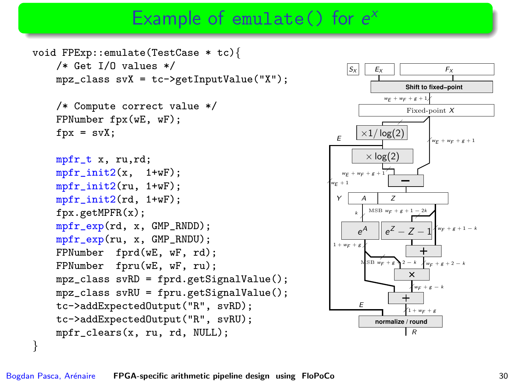# Example of emulate() for  $e^x$

```
void FPExp::emulate(TestCase * tc){
    /* Get I/O values */
   mpz_class svX = tc->getInputValue("X");
    /* Compute correct value */
    FPNumber fpx(wE, wF);
    fpx = syX:
   mpfr_t x, ru,rd;
    mpfr\_init2(x, 1+wF);mpr\_init2(ru, 1+wF);mpfr_init2(rd, 1+wF);
   fpx.getMPFR(x);
    mpfr_exp(rd, x, GMP_RNDD);
    mpfr_exp(ru, x, GMP_RNDU);
    FPNumber fprd(wE, wF, rd);
    FPNumber fpru(wE, wF, ru);
    mpz_class svRD = fprd.getSignalValue();
    mpz_class svRU = fpru.getSignalValue();
    tc->addExpectedOutput("R", svRD);
    tc->addExpectedOutput("R", svRU);
    mpfr_clears(x, ru, rd, NULL);
```
![](_page_63_Figure_2.jpeg)

}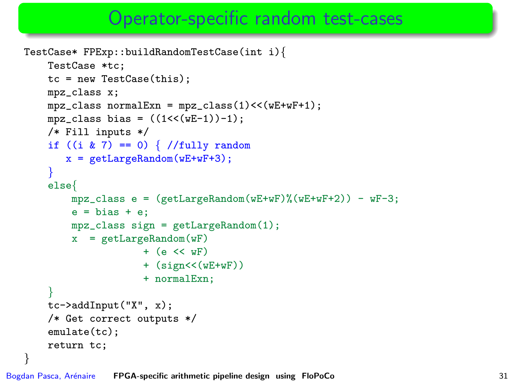#### Operator-specific random test-cases

```
TestCase* FPExp::buildRandomTestCase(int i){
    TestCase *tc;
    tc = new TestCase(this);
    mpz_class x;
    mpz_{\text{class}} normalExn = mpz_{\text{class}}(1) << (wE+wF+1);
    mpz_{\text{class bias}} = ((1 \leq (wE-1)) - 1);/* Fill inputs */
    if ((i \& 7) == 0) \frac{7}{1} /fully random
       x = getLargeRandom(wE+wF+3);}
    else{
         mpz<sub>class</sub> e = (getLargeRandom(wE+wF)%(wE+wF+2)) - wF-3;
         e = bias + e;
         mpz_class sign = getLargeRandom(1);
         x = getLargeRandom(wF)+ (e \ll \text{wF})+ (sign<<(wE+wF))
                       + normalExn;
    }
    tc->addInput("X", x);
    /* Get correct outputs */
    emulate(tc);
    return tc;
}
```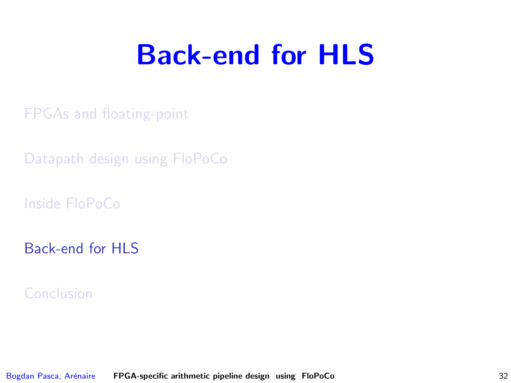# Back-end for HLS

[FPGAs and floating-point](#page-2-0)

[Datapath design using FloPoCo](#page-23-0)

[Inside FloPoCo](#page-36-0)

[Back-end for HLS](#page-65-0)

<span id="page-65-0"></span>[Conclusion](#page-70-0)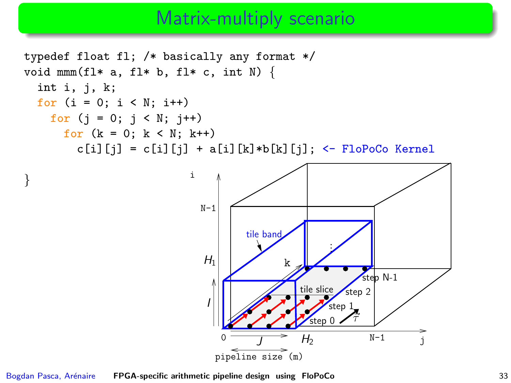### Matrix-multiply scenario

![](_page_66_Figure_1.jpeg)

Bogdan Pasca, Arénaire [FPGA-specific arithmetic pipeline design using FloPoCo](#page-0-0) 33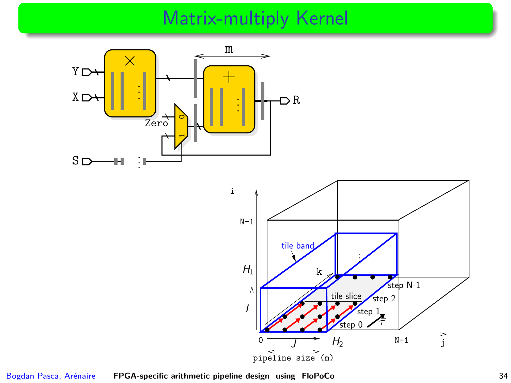# Matrix-multiply Kernel

![](_page_67_Figure_1.jpeg)

![](_page_67_Figure_2.jpeg)

Bogdan Pasca, Arénaire [FPGA-specific arithmetic pipeline design using FloPoCo](#page-0-0) 34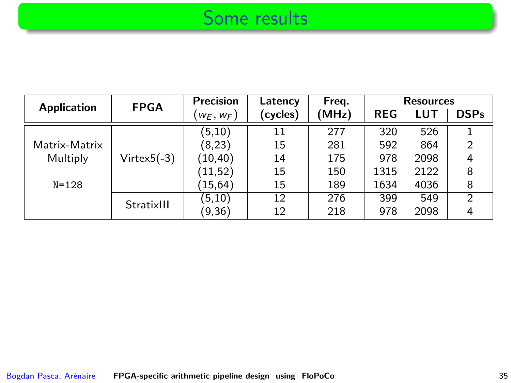### Some results

| <b>Application</b> | <b>FPGA</b>   | Precision    | Latency  | Freq. |            | <b>Resources</b> |                |  |  |
|--------------------|---------------|--------------|----------|-------|------------|------------------|----------------|--|--|
|                    |               | $w_E, w_F$ ) | (cycles) | (MHz) | <b>REG</b> | <b>LUT</b>       | <b>DSPs</b>    |  |  |
|                    |               | (5,10)       | 11       | 277   | 320        | 526              |                |  |  |
| Matrix-Matrix      |               | (8,23)       | 15       | 281   | 592        | 864              | $\overline{2}$ |  |  |
| Multiply           | $Virtex5(-3)$ | (10, 40)     | 14       | 175   | 978        | 2098             |                |  |  |
|                    |               | (11, 52)     | 15       | 150   | 1315       | 2122             | 8              |  |  |
| $N = 128$          |               | (15, 64)     | 15       | 189   | 1634       | 4036             | 8              |  |  |
|                    | StratixIII    | (5,10)       | 12       | 276   | 399        | 549              | $\mathcal{P}$  |  |  |
|                    |               | (9, 36)      | 12       | 218   | 978        | 2098             | 4              |  |  |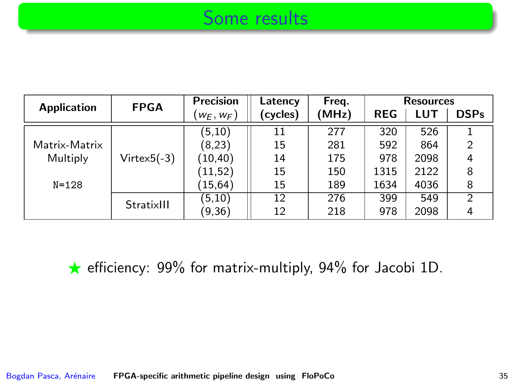#### Some results

| <b>Application</b> | <b>FPGA</b>       | Precision    | Latency  | Freq. | <b>Resources</b> |      |                |
|--------------------|-------------------|--------------|----------|-------|------------------|------|----------------|
|                    |                   | $(w_E, w_F)$ | (cycles) | (MHz) | <b>REG</b>       | LUT  | <b>DSPs</b>    |
|                    |                   | (5,10)       | 11       | 277   | 320              | 526  |                |
| Matrix-Matrix      |                   | (8,23)       | 15       | 281   | 592              | 864  | $\overline{2}$ |
| Multiply           | $V$ irtex $5(-3)$ | (10, 40)     | 14       | 175   | 978              | 2098 | 4              |
|                    |                   | (11.52)      | 15       | 150   | 1315             | 2122 | 8              |
| $N = 128$          |                   | (15, 64)     | 15       | 189   | 1634             | 4036 | 8              |
|                    | StratixIII        | (5,10)       | 12       | 276   | 399              | 549  | $\mathcal{P}$  |
|                    |                   | (9, 36)      | 12       | 218   | 978              | 2098 | 4              |

 $\star$  efficiency: 99% for matrix-multiply, 94% for Jacobi 1D.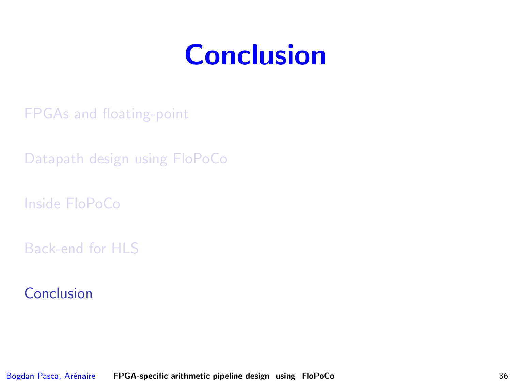# <span id="page-70-0"></span>**Conclusion**

[FPGAs and floating-point](#page-2-0)

[Datapath design using FloPoCo](#page-23-0)

[Inside FloPoCo](#page-36-0)

[Back-end for HLS](#page-65-0)

[Conclusion](#page-70-0)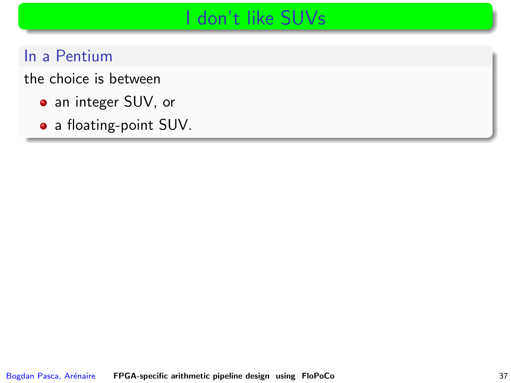# I don't like SUVs

In a Pentium

the choice is between

- an integer SUV, or
- a floating-point SUV.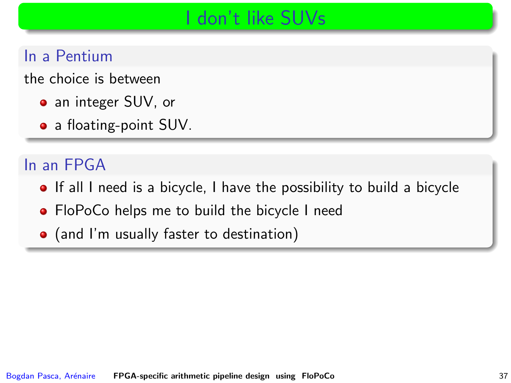## I don't like SUVs

### In a Pentium

the choice is between

- an integer SUV, or
- a floating-point SUV.

#### In an FPGA

- **If all I need is a bicycle, I have the possibility to build a bicycle**
- FloPoCo helps me to build the bicycle I need
- (and I'm usually faster to destination)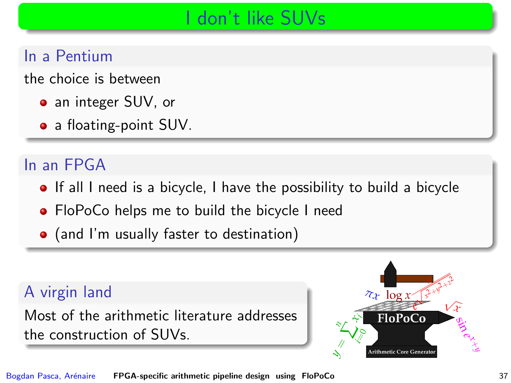# I don't like SUVs

### In a Pentium

the choice is between

- an integer SUV, or
- a floating-point SUV.

### In an FPGA

- **If all I need is a bicycle, I have the possibility to build a bicycle**
- FloPoCo helps me to build the bicycle I need
- (and I'm usually faster to destination)

#### A virgin land

Most of the arithmetic literature addresses the construction of SUVs.

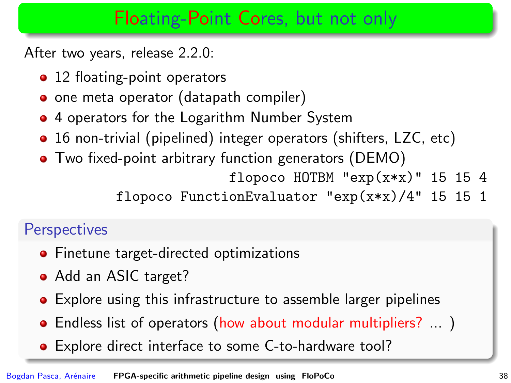## Floating-Point Cores, but not only

After two years, release 2.2.0:

- 12 floating-point operators
- o one meta operator (datapath compiler)
- 4 operators for the Logarithm Number System
- 16 non-trivial (pipelined) integer operators (shifters, LZC, etc)
- Two fixed-point arbitrary function generators (DEMO)

flopoco HOTBM " $exp(x*x)$ " 15 15 4

flopoco FunctionEvaluator "exp(x\*x)/4" 15 15 1

### **Perspectives**

- **•** Finetune target-directed optimizations
- Add an ASIC target?
- Explore using this infrastructure to assemble larger pipelines
- Endless list of operators (how about modular multipliers? ...)
- Explore direct interface to some C-to-hardware tool?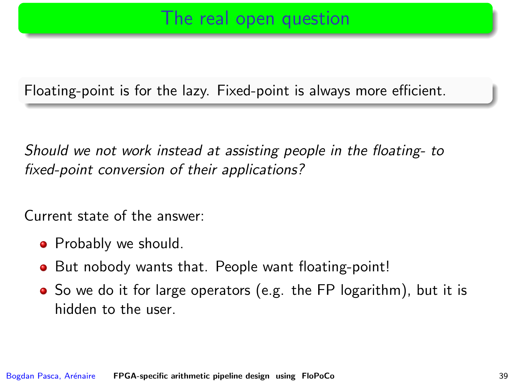### The real open question

Floating-point is for the lazy. Fixed-point is always more efficient.

Should we not work instead at assisting people in the floating- to fixed-point conversion of their applications?

Current state of the answer:

- Probably we should.
- But nobody wants that. People want floating-point!
- So we do it for large operators (e.g. the FP logarithm), but it is hidden to the user.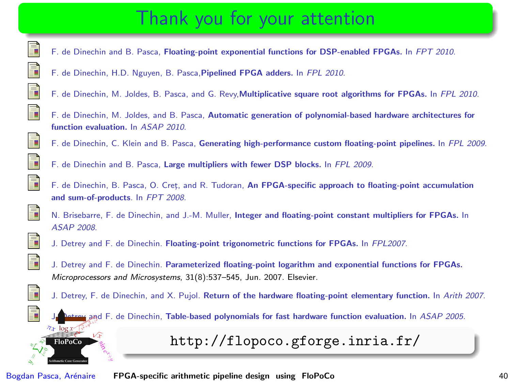# Thank you for your attention

- F. de Dinechin and B. Pasca, Floating-point exponential functions for DSP-enabled FPGAs. In FPT 2010.
- F. de Dinechin, H.D. Nguyen, B. Pasca,Pipelined FPGA adders. In FPL 2010.
- F. de Dinechin, M. Joldes, B. Pasca, and G. Revy,Multiplicative square root algorithms for FPGAs. In FPL 2010.
- F. de Dinechin, M. Joldes, and B. Pasca, Automatic generation of polynomial-based hardware architectures for function evaluation. In ASAP 2010.
- F. de Dinechin, C. Klein and B. Pasca, Generating high-performance custom floating-point pipelines. In FPL 2009.
- F. de Dinechin and B. Pasca, Large multipliers with fewer DSP blocks. In FPL 2009.
- F. de Dinechin, B. Pasca, O. Cret, and R. Tudoran, An FPGA-specific approach to floating-point accumulation and sum-of-products. In FPT 2008.



F

F F

量 F F

 $\mathbb{R}$ 言 F  $\mathbf{r}$ 

- N. Brisebarre, F. de Dinechin, and J.-M. Muller, Integer and floating-point constant multipliers for FPGAs. In ASAP 2008.
- J. Detrey and F. de Dinechin. Floating-point trigonometric functions for FPGAs. In FPL2007.
- J. Detrey and F. de Dinechin. Parameterized floating-point logarithm and exponential functions for FPGAs. Microprocessors and Microsystems, 31(8):537–545, Jun. 2007. Elsevier.
- J. Detrey, F. de Dinechin, and X. Pujol. Return of the hardware floating-point elementary function. In Arith 2007.





 $\tau_x$   $\log x$ FloPoCo

Bogdan Pasca, Arénaire **[FPGA-specific arithmetic pipeline design using FloPoCo](#page-0-0)** 40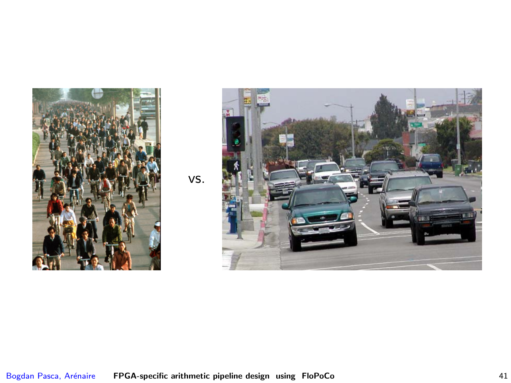

vs.